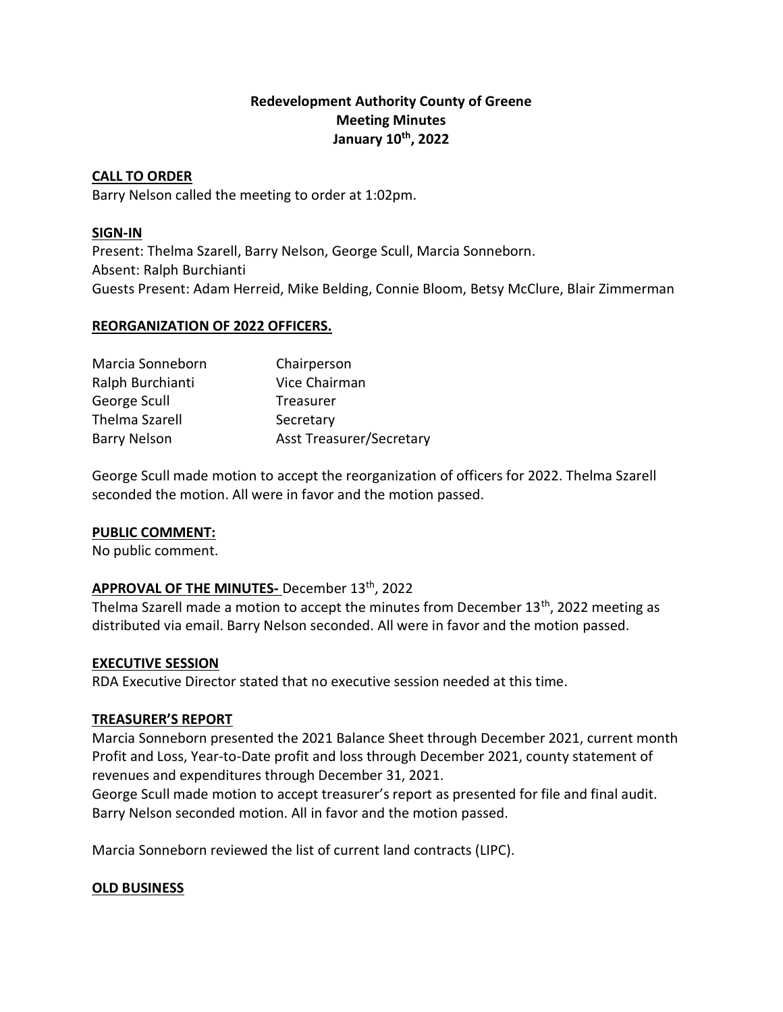## Redevelopment Authority County of Greene Meeting Minutes January 10th, 2022

## CALL TO ORDER

Barry Nelson called the meeting to order at 1:02pm.

## SIGN-IN

Present: Thelma Szarell, Barry Nelson, George Scull, Marcia Sonneborn. Absent: Ralph Burchianti Guests Present: Adam Herreid, Mike Belding, Connie Bloom, Betsy McClure, Blair Zimmerman

## REORGANIZATION OF 2022 OFFICERS.

| Marcia Sonneborn      | Chairperson                     |
|-----------------------|---------------------------------|
| Ralph Burchianti      | Vice Chairman                   |
| George Scull          | Treasurer                       |
| <b>Thelma Szarell</b> | Secretary                       |
| <b>Barry Nelson</b>   | <b>Asst Treasurer/Secretary</b> |

George Scull made motion to accept the reorganization of officers for 2022. Thelma Szarell seconded the motion. All were in favor and the motion passed.

## PUBLIC COMMENT:

No public comment.

## APPROVAL OF THE MINUTES- December 13th, 2022

Thelma Szarell made a motion to accept the minutes from December 13<sup>th</sup>, 2022 meeting as distributed via email. Barry Nelson seconded. All were in favor and the motion passed.

## EXECUTIVE SESSION

RDA Executive Director stated that no executive session needed at this time.

## TREASURER'S REPORT

Marcia Sonneborn presented the 2021 Balance Sheet through December 2021, current month Profit and Loss, Year-to-Date profit and loss through December 2021, county statement of revenues and expenditures through December 31, 2021.

George Scull made motion to accept treasurer's report as presented for file and final audit. Barry Nelson seconded motion. All in favor and the motion passed.

Marcia Sonneborn reviewed the list of current land contracts (LIPC).

## OLD BUSINESS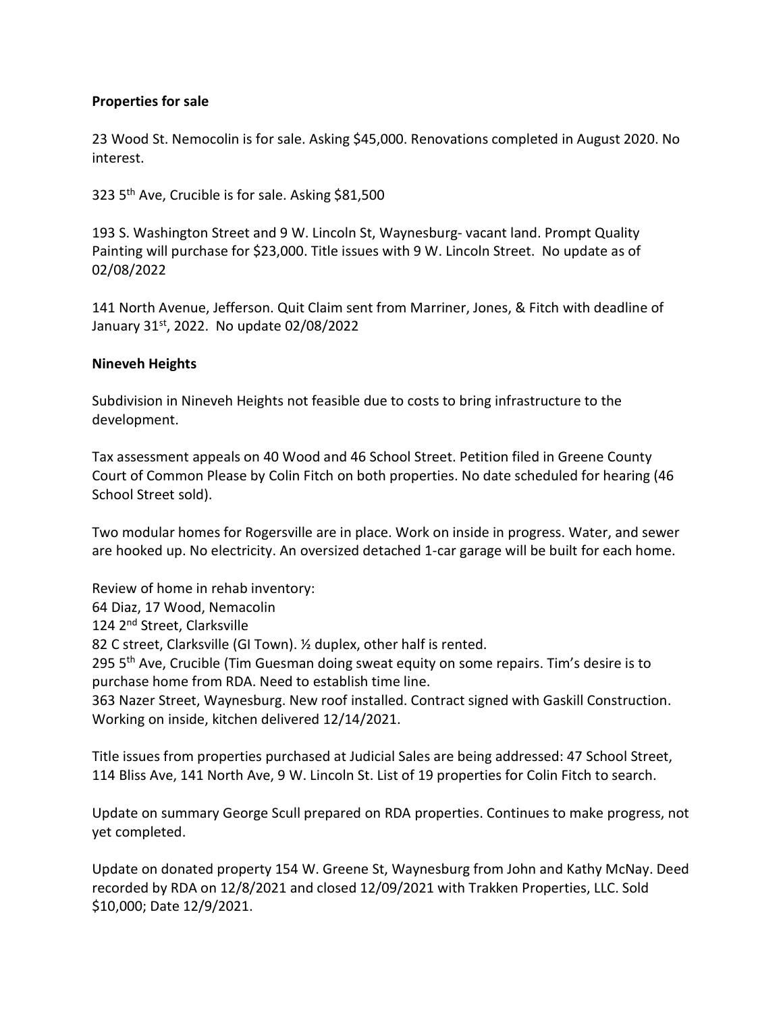## Properties for sale

23 Wood St. Nemocolin is for sale. Asking \$45,000. Renovations completed in August 2020. No interest.

323 5th Ave, Crucible is for sale. Asking \$81,500

193 S. Washington Street and 9 W. Lincoln St, Waynesburg- vacant land. Prompt Quality Painting will purchase for \$23,000. Title issues with 9 W. Lincoln Street. No update as of 02/08/2022

141 North Avenue, Jefferson. Quit Claim sent from Marriner, Jones, & Fitch with deadline of January 31st, 2022. No update 02/08/2022

#### Nineveh Heights

Subdivision in Nineveh Heights not feasible due to costs to bring infrastructure to the development.

Tax assessment appeals on 40 Wood and 46 School Street. Petition filed in Greene County Court of Common Please by Colin Fitch on both properties. No date scheduled for hearing (46 School Street sold).

Two modular homes for Rogersville are in place. Work on inside in progress. Water, and sewer are hooked up. No electricity. An oversized detached 1-car garage will be built for each home.

Review of home in rehab inventory: 64 Diaz, 17 Wood, Nemacolin 124 2<sup>nd</sup> Street, Clarksville 82 C street, Clarksville (GI Town). ½ duplex, other half is rented. 295 5<sup>th</sup> Ave, Crucible (Tim Guesman doing sweat equity on some repairs. Tim's desire is to purchase home from RDA. Need to establish time line. 363 Nazer Street, Waynesburg. New roof installed. Contract signed with Gaskill Construction. Working on inside, kitchen delivered 12/14/2021.

Title issues from properties purchased at Judicial Sales are being addressed: 47 School Street, 114 Bliss Ave, 141 North Ave, 9 W. Lincoln St. List of 19 properties for Colin Fitch to search.

Update on summary George Scull prepared on RDA properties. Continues to make progress, not yet completed.

Update on donated property 154 W. Greene St, Waynesburg from John and Kathy McNay. Deed recorded by RDA on 12/8/2021 and closed 12/09/2021 with Trakken Properties, LLC. Sold \$10,000; Date 12/9/2021.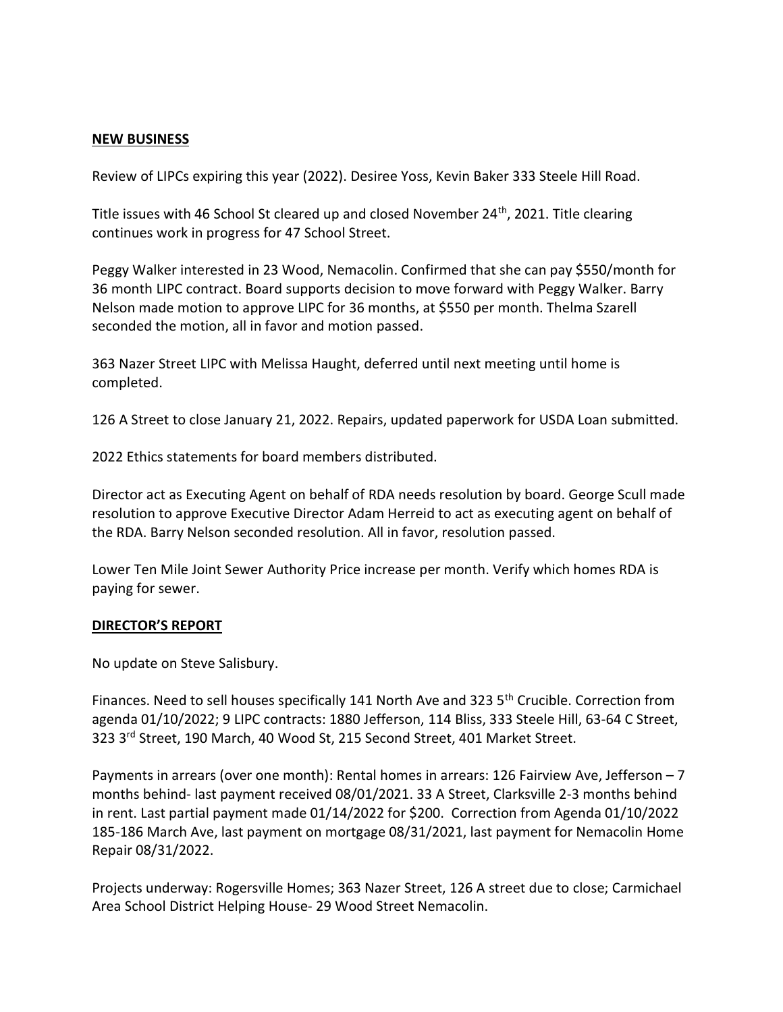#### NEW BUSINESS

Review of LIPCs expiring this year (2022). Desiree Yoss, Kevin Baker 333 Steele Hill Road.

Title issues with 46 School St cleared up and closed November  $24<sup>th</sup>$ , 2021. Title clearing continues work in progress for 47 School Street.

Peggy Walker interested in 23 Wood, Nemacolin. Confirmed that she can pay \$550/month for 36 month LIPC contract. Board supports decision to move forward with Peggy Walker. Barry Nelson made motion to approve LIPC for 36 months, at \$550 per month. Thelma Szarell seconded the motion, all in favor and motion passed.

363 Nazer Street LIPC with Melissa Haught, deferred until next meeting until home is completed.

126 A Street to close January 21, 2022. Repairs, updated paperwork for USDA Loan submitted.

2022 Ethics statements for board members distributed.

Director act as Executing Agent on behalf of RDA needs resolution by board. George Scull made resolution to approve Executive Director Adam Herreid to act as executing agent on behalf of the RDA. Barry Nelson seconded resolution. All in favor, resolution passed.

Lower Ten Mile Joint Sewer Authority Price increase per month. Verify which homes RDA is paying for sewer.

#### DIRECTOR'S REPORT

No update on Steve Salisbury.

Finances. Need to sell houses specifically 141 North Ave and 323 5<sup>th</sup> Crucible. Correction from agenda 01/10/2022; 9 LIPC contracts: 1880 Jefferson, 114 Bliss, 333 Steele Hill, 63-64 C Street, 323 3rd Street, 190 March, 40 Wood St, 215 Second Street, 401 Market Street.

Payments in arrears (over one month): Rental homes in arrears: 126 Fairview Ave, Jefferson – 7 months behind- last payment received 08/01/2021. 33 A Street, Clarksville 2-3 months behind in rent. Last partial payment made 01/14/2022 for \$200. Correction from Agenda 01/10/2022 185-186 March Ave, last payment on mortgage 08/31/2021, last payment for Nemacolin Home Repair 08/31/2022.

Projects underway: Rogersville Homes; 363 Nazer Street, 126 A street due to close; Carmichael Area School District Helping House- 29 Wood Street Nemacolin.